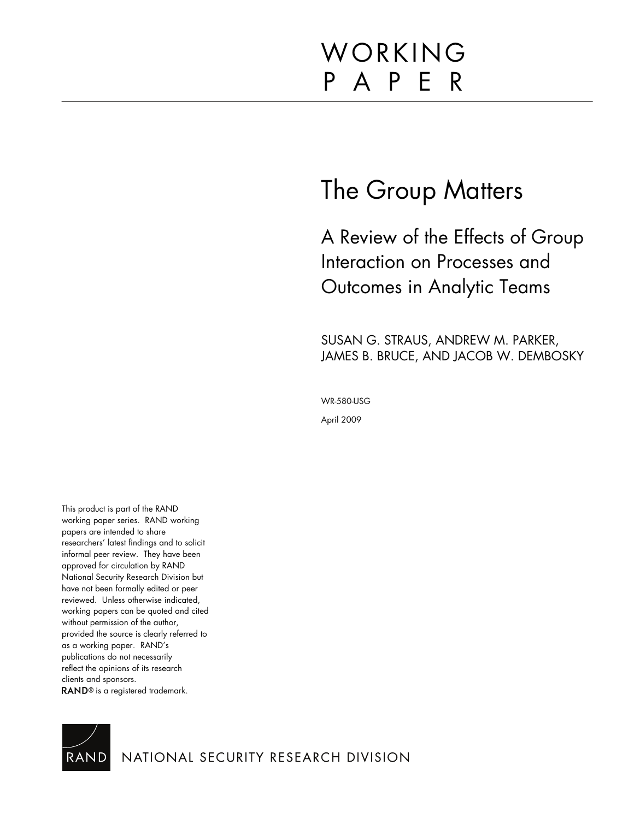# WORKING P A P E R

## The Group Matters

A Review of the Effects of Group Interaction on Processes and Outcomes in Analytic Teams

SUSAN G. STRAUS, ANDREW M. PARKER, JAMES B. BRUCE, AND JACOB W. DEMBOSKY

WR-580-USG

April 2009

This product is part of the RAND working paper series. RAND working papers are intended to share researchers' latest findings and to solicit informal peer review. They have been approved for circulation by RAND National Security Research Division but have not been formally edited or peer reviewed. Unless otherwise indicated, working papers can be quoted and cited without permission of the author, provided the source is clearly referred to as a working paper. RAND's publications do not necessarily reflect the opinions of its research clients and sponsors. RAND<sup>®</sup> is a registered trademark.

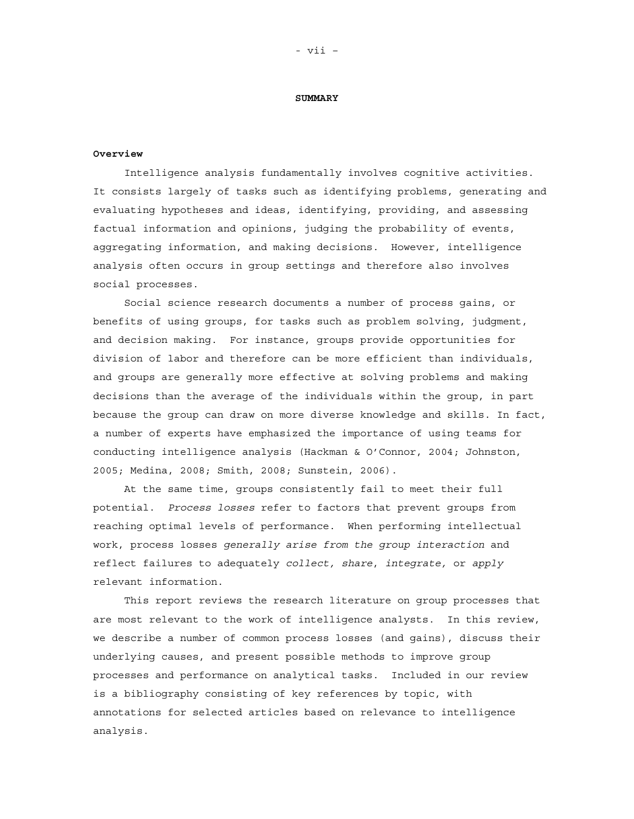#### **SUMMARY**

#### **Overview**

Intelligence analysis fundamentally involves cognitive activities. It consists largely of tasks such as identifying problems, generating and evaluating hypotheses and ideas, identifying, providing, and assessing factual information and opinions, judging the probability of events, aggregating information, and making decisions. However, intelligence analysis often occurs in group settings and therefore also involves social processes.

Social science research documents a number of process gains, or benefits of using groups, for tasks such as problem solving, judgment, and decision making. For instance, groups provide opportunities for division of labor and therefore can be more efficient than individuals, and groups are generally more effective at solving problems and making decisions than the average of the individuals within the group, in part because the group can draw on more diverse knowledge and skills. In fact, a number of experts have emphasized the importance of using teams for conducting intelligence analysis (Hackman & O'Connor, 2004; Johnston, 2005; Medina, 2008; Smith, 2008; Sunstein, 2006).

At the same time, groups consistently fail to meet their full potential. *Process losses* refer to factors that prevent groups from reaching optimal levels of performance. When performing intellectual work, process losses *generally arise from the group interaction* and reflect failures to adequately *collect, share*, *integrate,* or *apply* relevant information.

This report reviews the research literature on group processes that are most relevant to the work of intelligence analysts. In this review, we describe a number of common process losses (and gains), discuss their underlying causes, and present possible methods to improve group processes and performance on analytical tasks. Included in our review is a bibliography consisting of key references by topic, with annotations for selected articles based on relevance to intelligence analysis.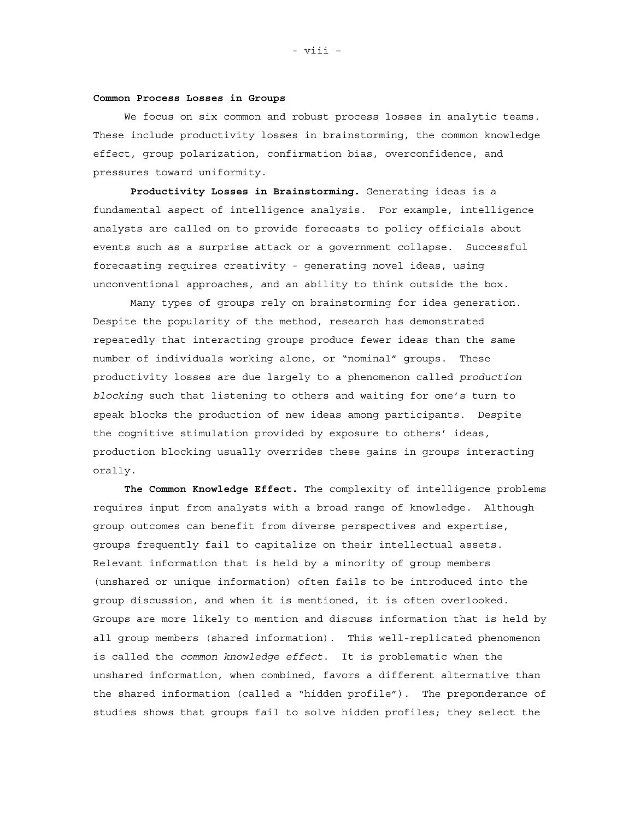#### **Common Process Losses in Groups**

We focus on six common and robust process losses in analytic teams. These include productivity losses in brainstorming, the common knowledge effect, group polarization, confirmation bias, overconfidence, and pressures toward uniformity.

**Productivity Losses in Brainstorming.** Generating ideas is a fundamental aspect of intelligence analysis. For example, intelligence analysts are called on to provide forecasts to policy officials about events such as a surprise attack or a government collapse. Successful forecasting requires creativity - generating novel ideas, using unconventional approaches, and an ability to think outside the box.

Many types of groups rely on brainstorming for idea generation. Despite the popularity of the method, research has demonstrated repeatedly that interacting groups produce fewer ideas than the same number of individuals working alone, or "nominal" groups. These productivity losses are due largely to a phenomenon called *production blocking* such that listening to others and waiting for one's turn to speak blocks the production of new ideas among participants. Despite the cognitive stimulation provided by exposure to others' ideas, production blocking usually overrides these gains in groups interacting orally.

**The Common Knowledge Effect.** The complexity of intelligence problems requires input from analysts with a broad range of knowledge. Although group outcomes can benefit from diverse perspectives and expertise, groups frequently fail to capitalize on their intellectual assets. Relevant information that is held by a minority of group members (unshared or unique information) often fails to be introduced into the group discussion, and when it is mentioned, it is often overlooked. Groups are more likely to mention and discuss information that is held by all group members (shared information). This well-replicated phenomenon is called the *common knowledge effect*. It is problematic when the unshared information, when combined, favors a different alternative than the shared information (called a "hidden profile"). The preponderance of studies shows that groups fail to solve hidden profiles; they select the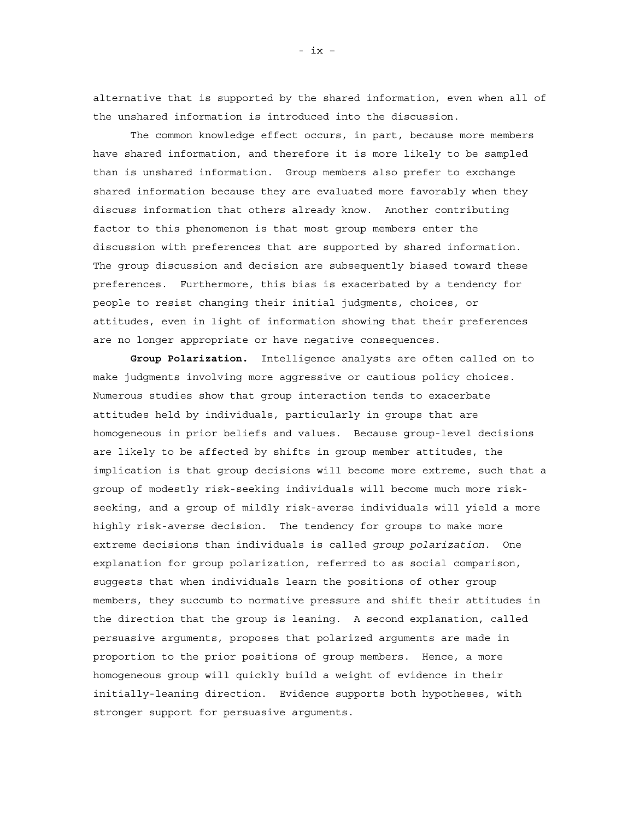alternative that is supported by the shared information, even when all of the unshared information is introduced into the discussion.

The common knowledge effect occurs, in part, because more members have shared information, and therefore it is more likely to be sampled than is unshared information. Group members also prefer to exchange shared information because they are evaluated more favorably when they discuss information that others already know. Another contributing factor to this phenomenon is that most group members enter the discussion with preferences that are supported by shared information. The group discussion and decision are subsequently biased toward these preferences. Furthermore, this bias is exacerbated by a tendency for people to resist changing their initial judgments, choices, or attitudes, even in light of information showing that their preferences are no longer appropriate or have negative consequences.

**Group Polarization.** Intelligence analysts are often called on to make judgments involving more aggressive or cautious policy choices. Numerous studies show that group interaction tends to exacerbate attitudes held by individuals, particularly in groups that are homogeneous in prior beliefs and values. Because group-level decisions are likely to be affected by shifts in group member attitudes, the implication is that group decisions will become more extreme, such that a group of modestly risk-seeking individuals will become much more riskseeking, and a group of mildly risk-averse individuals will yield a more highly risk-averse decision. The tendency for groups to make more extreme decisions than individuals is called *group polarization*. One explanation for group polarization, referred to as social comparison, suggests that when individuals learn the positions of other group members, they succumb to normative pressure and shift their attitudes in the direction that the group is leaning. A second explanation, called persuasive arguments, proposes that polarized arguments are made in proportion to the prior positions of group members. Hence, a more homogeneous group will quickly build a weight of evidence in their initially-leaning direction. Evidence supports both hypotheses, with stronger support for persuasive arguments.

- ix –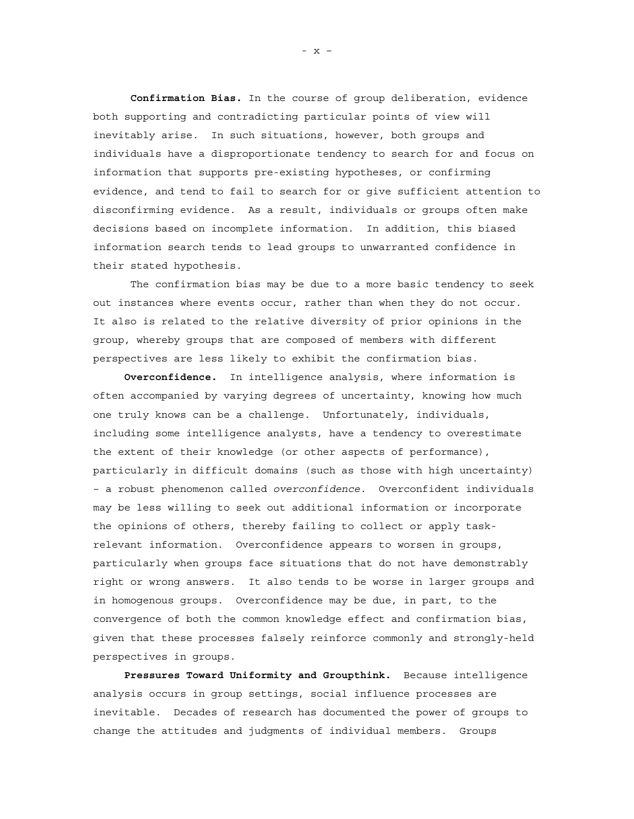**Confirmation Bias.** In the course of group deliberation, evidence both supporting and contradicting particular points of view will inevitably arise. In such situations, however, both groups and individuals have a disproportionate tendency to search for and focus on information that supports pre-existing hypotheses, or confirming evidence, and tend to fail to search for or give sufficient attention to disconfirming evidence. As a result, individuals or groups often make decisions based on incomplete information. In addition, this biased information search tends to lead groups to unwarranted confidence in their stated hypothesis.

 The confirmation bias may be due to a more basic tendency to seek out instances where events occur, rather than when they do not occur. It also is related to the relative diversity of prior opinions in the group, whereby groups that are composed of members with different perspectives are less likely to exhibit the confirmation bias.

**Overconfidence.** In intelligence analysis, where information is often accompanied by varying degrees of uncertainty, knowing how much one truly knows can be a challenge. Unfortunately, individuals, including some intelligence analysts, have a tendency to overestimate the extent of their knowledge (or other aspects of performance), particularly in difficult domains (such as those with high uncertainty) – a robust phenomenon called *overconfidence*. Overconfident individuals may be less willing to seek out additional information or incorporate the opinions of others, thereby failing to collect or apply taskrelevant information. Overconfidence appears to worsen in groups, particularly when groups face situations that do not have demonstrably right or wrong answers. It also tends to be worse in larger groups and in homogenous groups. Overconfidence may be due, in part, to the convergence of both the common knowledge effect and confirmation bias, given that these processes falsely reinforce commonly and strongly-held perspectives in groups.

**Pressures Toward Uniformity and Groupthink.** Because intelligence analysis occurs in group settings, social influence processes are inevitable. Decades of research has documented the power of groups to change the attitudes and judgments of individual members. Groups

- x –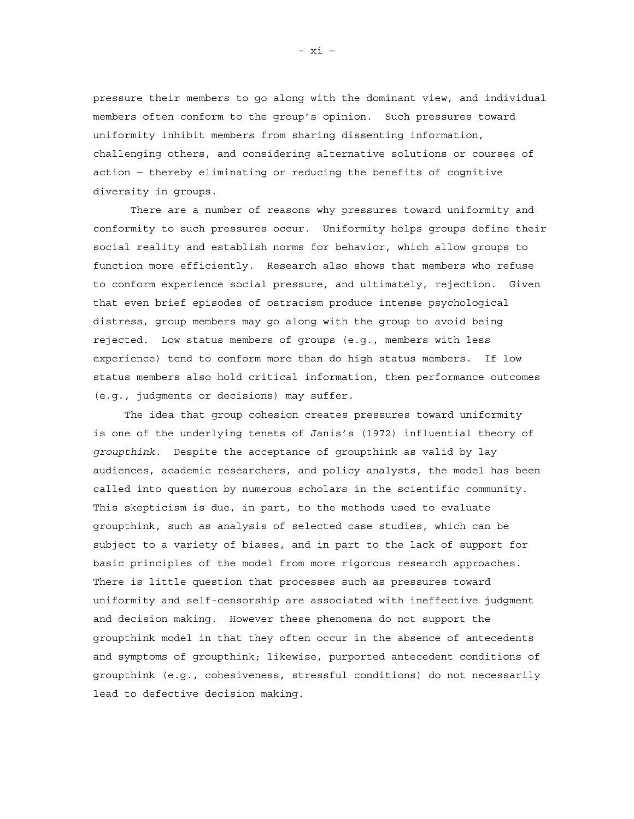pressure their members to go along with the dominant view, and individual members often conform to the group's opinion. Such pressures toward uniformity inhibit members from sharing dissenting information, challenging others, and considering alternative solutions or courses of action — thereby eliminating or reducing the benefits of cognitive diversity in groups.

There are a number of reasons why pressures toward uniformity and conformity to such pressures occur. Uniformity helps groups define their social reality and establish norms for behavior, which allow groups to function more efficiently. Research also shows that members who refuse to conform experience social pressure, and ultimately, rejection. Given that even brief episodes of ostracism produce intense psychological distress, group members may go along with the group to avoid being rejected. Low status members of groups (e.g., members with less experience) tend to conform more than do high status members. If low status members also hold critical information, then performance outcomes (e.g., judgments or decisions) may suffer.

The idea that group cohesion creates pressures toward uniformity is one of the underlying tenets of Janis's (1972) influential theory of *groupthink*. Despite the acceptance of groupthink as valid by lay audiences, academic researchers, and policy analysts, the model has been called into question by numerous scholars in the scientific community. This skepticism is due, in part, to the methods used to evaluate groupthink, such as analysis of selected case studies, which can be subject to a variety of biases, and in part to the lack of support for basic principles of the model from more rigorous research approaches. There is little question that processes such as pressures toward uniformity and self-censorship are associated with ineffective judgment and decision making. However these phenomena do not support the groupthink model in that they often occur in the absence of antecedents and symptoms of groupthink; likewise, purported antecedent conditions of groupthink (e.g., cohesiveness, stressful conditions) do not necessarily lead to defective decision making.

- xi –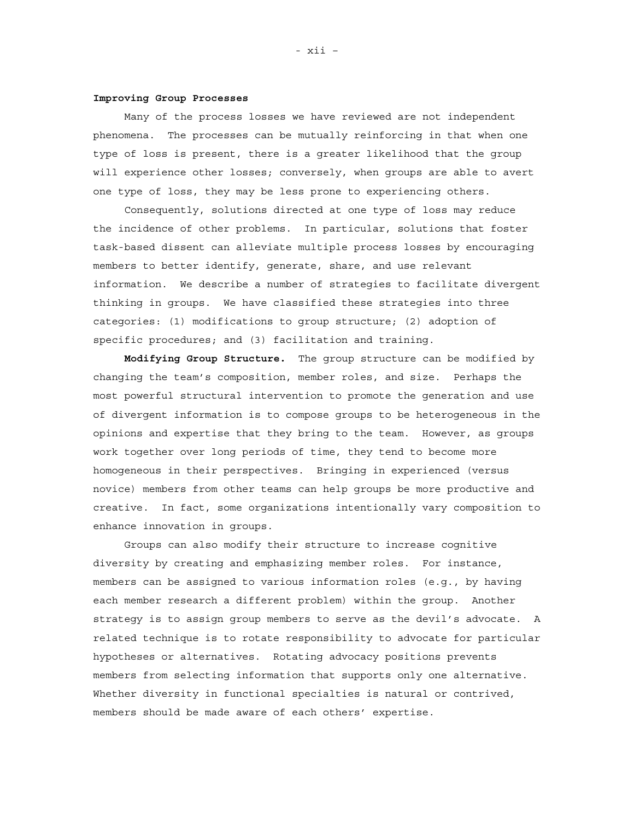#### **Improving Group Processes**

Many of the process losses we have reviewed are not independent phenomena. The processes can be mutually reinforcing in that when one type of loss is present, there is a greater likelihood that the group will experience other losses; conversely, when groups are able to avert one type of loss, they may be less prone to experiencing others.

Consequently, solutions directed at one type of loss may reduce the incidence of other problems. In particular, solutions that foster task-based dissent can alleviate multiple process losses by encouraging members to better identify, generate, share, and use relevant information. We describe a number of strategies to facilitate divergent thinking in groups. We have classified these strategies into three categories: (1) modifications to group structure; (2) adoption of specific procedures; and (3) facilitation and training.

**Modifying Group Structure.** The group structure can be modified by changing the team's composition, member roles, and size. Perhaps the most powerful structural intervention to promote the generation and use of divergent information is to compose groups to be heterogeneous in the opinions and expertise that they bring to the team. However, as groups work together over long periods of time, they tend to become more homogeneous in their perspectives. Bringing in experienced (versus novice) members from other teams can help groups be more productive and creative. In fact, some organizations intentionally vary composition to enhance innovation in groups.

Groups can also modify their structure to increase cognitive diversity by creating and emphasizing member roles. For instance, members can be assigned to various information roles (e.g., by having each member research a different problem) within the group. Another strategy is to assign group members to serve as the devil's advocate. A related technique is to rotate responsibility to advocate for particular hypotheses or alternatives. Rotating advocacy positions prevents members from selecting information that supports only one alternative. Whether diversity in functional specialties is natural or contrived, members should be made aware of each others' expertise.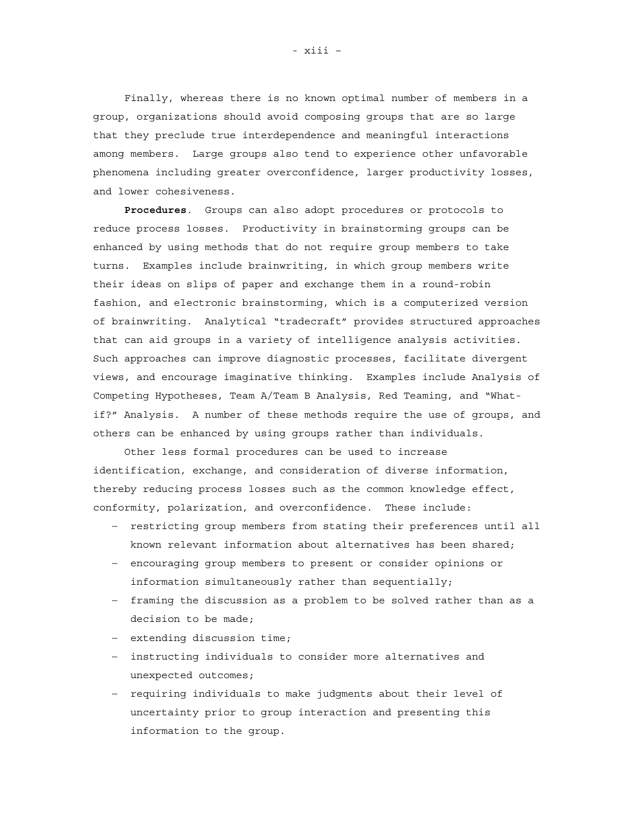Finally, whereas there is no known optimal number of members in a group, organizations should avoid composing groups that are so large that they preclude true interdependence and meaningful interactions among members. Large groups also tend to experience other unfavorable phenomena including greater overconfidence, larger productivity losses, and lower cohesiveness.

**Procedures**. Groups can also adopt procedures or protocols to reduce process losses. Productivity in brainstorming groups can be enhanced by using methods that do not require group members to take turns. Examples include brainwriting, in which group members write their ideas on slips of paper and exchange them in a round-robin fashion, and electronic brainstorming, which is a computerized version of brainwriting. Analytical "tradecraft" provides structured approaches that can aid groups in a variety of intelligence analysis activities. Such approaches can improve diagnostic processes, facilitate divergent views, and encourage imaginative thinking. Examples include Analysis of Competing Hypotheses, Team A/Team B Analysis, Red Teaming, and "Whatif?" Analysis. A number of these methods require the use of groups, and others can be enhanced by using groups rather than individuals.

Other less formal procedures can be used to increase identification, exchange, and consideration of diverse information, thereby reducing process losses such as the common knowledge effect, conformity, polarization, and overconfidence. These include:

- restricting group members from stating their preferences until all known relevant information about alternatives has been shared;
- encouraging group members to present or consider opinions or information simultaneously rather than sequentially;
- framing the discussion as a problem to be solved rather than as a decision to be made;
- extending discussion time;
- instructing individuals to consider more alternatives and unexpected outcomes;
- requiring individuals to make judgments about their level of uncertainty prior to group interaction and presenting this information to the group.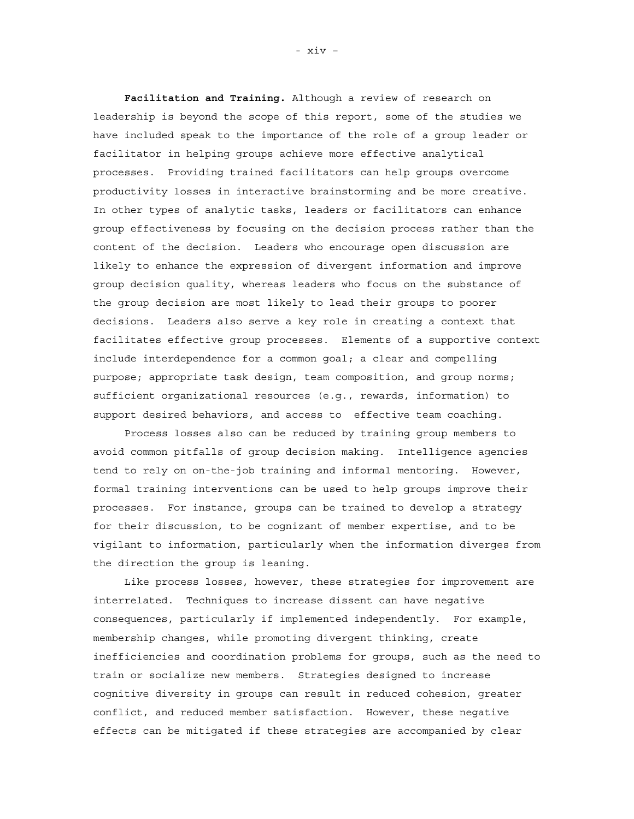**Facilitation and Training.** Although a review of research on leadership is beyond the scope of this report, some of the studies we have included speak to the importance of the role of a group leader or facilitator in helping groups achieve more effective analytical processes. Providing trained facilitators can help groups overcome productivity losses in interactive brainstorming and be more creative. In other types of analytic tasks, leaders or facilitators can enhance group effectiveness by focusing on the decision process rather than the content of the decision. Leaders who encourage open discussion are likely to enhance the expression of divergent information and improve group decision quality, whereas leaders who focus on the substance of the group decision are most likely to lead their groups to poorer decisions. Leaders also serve a key role in creating a context that facilitates effective group processes. Elements of a supportive context include interdependence for a common goal; a clear and compelling purpose; appropriate task design, team composition, and group norms; sufficient organizational resources (e.g., rewards, information) to support desired behaviors, and access to effective team coaching.

Process losses also can be reduced by training group members to avoid common pitfalls of group decision making. Intelligence agencies tend to rely on on-the-job training and informal mentoring. However, formal training interventions can be used to help groups improve their processes. For instance, groups can be trained to develop a strategy for their discussion, to be cognizant of member expertise, and to be vigilant to information, particularly when the information diverges from the direction the group is leaning.

Like process losses, however, these strategies for improvement are interrelated. Techniques to increase dissent can have negative consequences, particularly if implemented independently. For example, membership changes, while promoting divergent thinking, create inefficiencies and coordination problems for groups, such as the need to train or socialize new members. Strategies designed to increase cognitive diversity in groups can result in reduced cohesion, greater conflict, and reduced member satisfaction. However, these negative effects can be mitigated if these strategies are accompanied by clear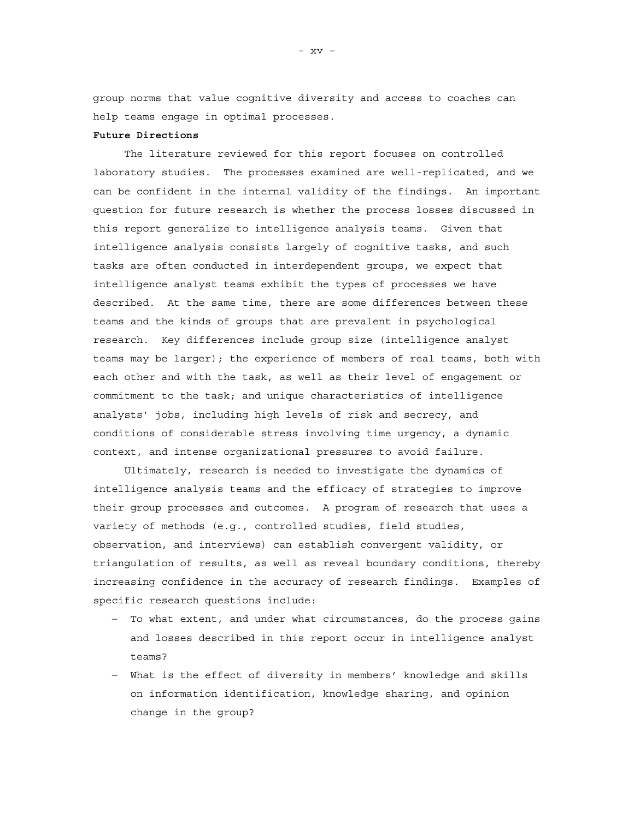group norms that value cognitive diversity and access to coaches can help teams engage in optimal processes.

### **Future Directions**

The literature reviewed for this report focuses on controlled laboratory studies. The processes examined are well-replicated, and we can be confident in the internal validity of the findings. An important question for future research is whether the process losses discussed in this report generalize to intelligence analysis teams. Given that intelligence analysis consists largely of cognitive tasks, and such tasks are often conducted in interdependent groups, we expect that intelligence analyst teams exhibit the types of processes we have described. At the same time, there are some differences between these teams and the kinds of groups that are prevalent in psychological research. Key differences include group size (intelligence analyst teams may be larger); the experience of members of real teams, both with each other and with the task, as well as their level of engagement or commitment to the task; and unique characteristics of intelligence analysts' jobs, including high levels of risk and secrecy, and conditions of considerable stress involving time urgency, a dynamic context, and intense organizational pressures to avoid failure.

Ultimately, research is needed to investigate the dynamics of intelligence analysis teams and the efficacy of strategies to improve their group processes and outcomes. A program of research that uses a variety of methods (e.g., controlled studies, field studies, observation, and interviews) can establish convergent validity, or triangulation of results, as well as reveal boundary conditions, thereby increasing confidence in the accuracy of research findings. Examples of specific research questions include:

- To what extent, and under what circumstances, do the process gains and losses described in this report occur in intelligence analyst teams?
- What is the effect of diversity in members' knowledge and skills on information identification, knowledge sharing, and opinion change in the group?